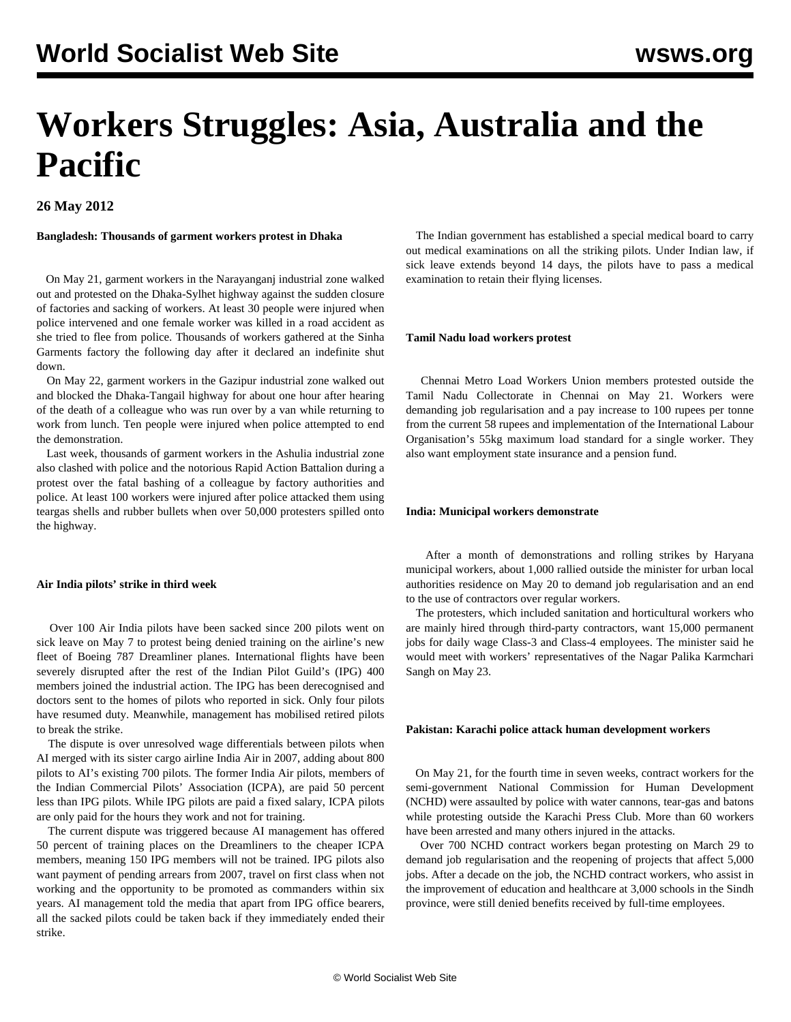# **Workers Struggles: Asia, Australia and the Pacific**

**26 May 2012**

**Bangladesh: Thousands of garment workers protest in Dhaka**

 On May 21, garment workers in the Narayanganj industrial zone walked out and protested on the Dhaka-Sylhet highway against the sudden closure of factories and sacking of workers. At least 30 people were injured when police intervened and one female worker was killed in a road accident as she tried to flee from police. Thousands of workers gathered at the Sinha Garments factory the following day after it declared an indefinite shut down.

 On May 22, garment workers in the Gazipur industrial zone walked out and blocked the Dhaka-Tangail highway for about one hour after hearing of the death of a colleague who was run over by a van while returning to work from lunch. Ten people were injured when police attempted to end the demonstration.

 Last week, thousands of garment workers in the Ashulia industrial zone also clashed with police and the notorious Rapid Action Battalion during a protest over the fatal bashing of a colleague by factory authorities and police. At least 100 workers were injured after police attacked them using teargas shells and rubber bullets when over 50,000 protesters spilled onto the highway.

#### **Air India pilots' strike in third week**

 Over 100 Air India pilots have been sacked since 200 pilots went on sick leave on May 7 to protest being denied training on the airline's new fleet of Boeing 787 Dreamliner planes. International flights have been severely disrupted after the rest of the Indian Pilot Guild's (IPG) 400 members joined the industrial action. The IPG has been derecognised and doctors sent to the homes of pilots who reported in sick. Only four pilots have resumed duty. Meanwhile, management has mobilised retired pilots to break the strike.

 The dispute is over unresolved wage differentials between pilots when AI merged with its sister cargo airline India Air in 2007, adding about 800 pilots to AI's existing 700 pilots. The former India Air pilots, members of the Indian Commercial Pilots' Association (ICPA), are paid 50 percent less than IPG pilots. While IPG pilots are paid a fixed salary, ICPA pilots are only paid for the hours they work and not for training.

 The current dispute was triggered because AI management has offered 50 percent of training places on the Dreamliners to the cheaper ICPA members, meaning 150 IPG members will not be trained. IPG pilots also want payment of pending arrears from 2007, travel on first class when not working and the opportunity to be promoted as commanders within six years. AI management told the media that apart from IPG office bearers, all the sacked pilots could be taken back if they immediately ended their strike.

 The Indian government has established a special medical board to carry out medical examinations on all the striking pilots. Under Indian law, if sick leave extends beyond 14 days, the pilots have to pass a medical examination to retain their flying licenses.

#### **Tamil Nadu load workers protest**

 Chennai Metro Load Workers Union members protested outside the Tamil Nadu Collectorate in Chennai on May 21. Workers were demanding job regularisation and a pay increase to 100 rupees per tonne from the current 58 rupees and implementation of the International Labour Organisation's 55kg maximum load standard for a single worker. They also want employment state insurance and a pension fund.

#### **India: Municipal workers demonstrate**

 After a month of demonstrations and rolling strikes by Haryana municipal workers, about 1,000 rallied outside the minister for urban local authorities residence on May 20 to demand job regularisation and an end to the use of contractors over regular workers.

 The protesters, which included sanitation and horticultural workers who are mainly hired through third-party contractors, want 15,000 permanent jobs for daily wage Class-3 and Class-4 employees. The minister said he would meet with workers' representatives of the Nagar Palika Karmchari Sangh on May 23.

## **Pakistan: Karachi police attack human development workers**

 On May 21, for the fourth time in seven weeks, contract workers for the semi-government National Commission for Human Development (NCHD) were assaulted by police with water cannons, tear-gas and batons while protesting outside the Karachi Press Club. More than 60 workers have been arrested and many others injured in the attacks.

 Over 700 NCHD contract workers began protesting on March 29 to demand job regularisation and the reopening of projects that affect 5,000 jobs. After a decade on the job, the NCHD contract workers, who assist in the improvement of education and healthcare at 3,000 schools in the Sindh province, were still denied benefits received by full-time employees.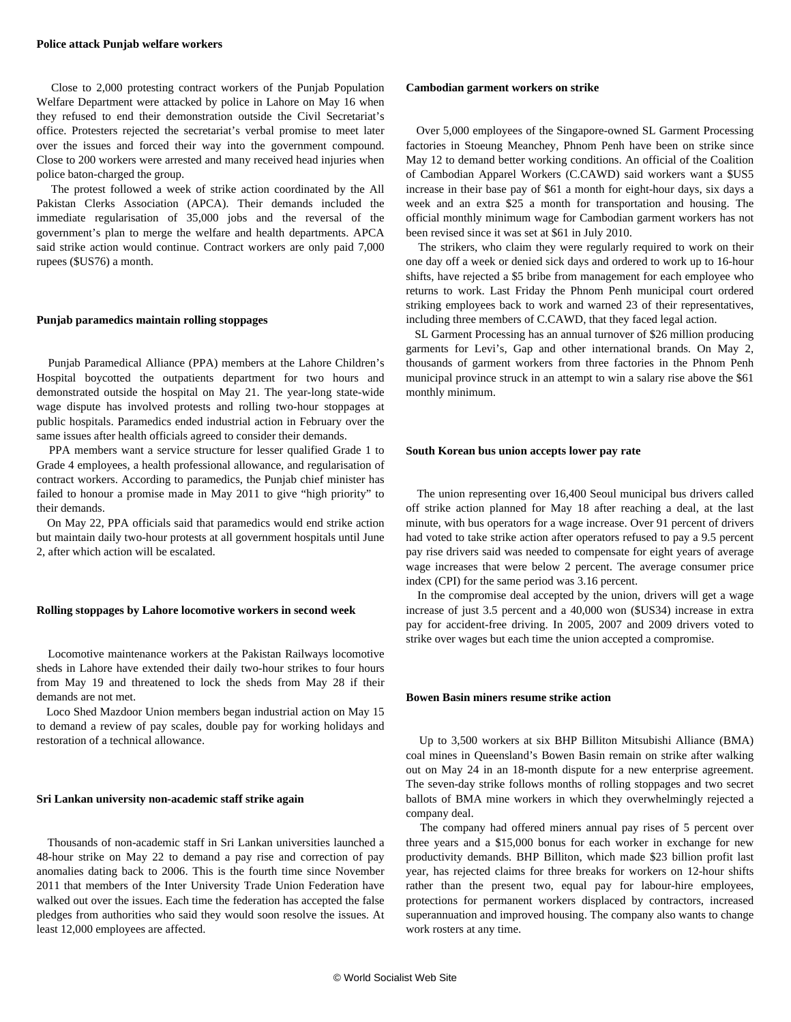Close to 2,000 protesting contract workers of the Punjab Population Welfare Department were attacked by police in Lahore on May 16 when they refused to end their demonstration outside the Civil Secretariat's office. Protesters rejected the secretariat's verbal promise to meet later over the issues and forced their way into the government compound. Close to 200 workers were arrested and many received head injuries when police baton-charged the group.

 The protest followed a week of strike action coordinated by the All Pakistan Clerks Association (APCA). Their demands included the immediate regularisation of 35,000 jobs and the reversal of the government's plan to merge the welfare and health departments. APCA said strike action would continue. Contract workers are only paid 7,000 rupees (\$US76) a month.

### **Punjab paramedics maintain rolling stoppages**

 Punjab Paramedical Alliance (PPA) members at the Lahore Children's Hospital boycotted the outpatients department for two hours and demonstrated outside the hospital on May 21. The year-long state-wide wage dispute has involved protests and rolling two-hour stoppages at public hospitals. Paramedics ended industrial action in February over the same issues after health officials agreed to consider their demands.

 PPA members want a service structure for lesser qualified Grade 1 to Grade 4 employees, a health professional allowance, and regularisation of contract workers. According to paramedics, the Punjab chief minister has failed to honour a promise made in May 2011 to give "high priority" to their demands.

 On May 22, PPA officials said that paramedics would end strike action but maintain daily two-hour protests at all government hospitals until June 2, after which action will be escalated.

#### **Rolling stoppages by Lahore locomotive workers in second week**

 Locomotive maintenance workers at the Pakistan Railways locomotive sheds in Lahore have extended their daily two-hour strikes to four hours from May 19 and threatened to lock the sheds from May 28 if their demands are not met.

 Loco Shed Mazdoor Union members began industrial action on May 15 to demand a review of pay scales, double pay for working holidays and restoration of a technical allowance.

#### **Sri Lankan university non-academic staff strike again**

 Thousands of non-academic staff in Sri Lankan universities launched a 48-hour strike on May 22 to demand a pay rise and correction of pay anomalies dating back to 2006. This is the fourth time since November 2011 that members of the Inter University Trade Union Federation have walked out over the issues. Each time the federation has accepted the false pledges from authorities who said they would soon resolve the issues. At least 12,000 employees are affected.

#### **Cambodian garment workers on strike**

 Over 5,000 employees of the Singapore-owned SL Garment Processing factories in Stoeung Meanchey, Phnom Penh have been on strike since May 12 to demand better working conditions. An official of the Coalition of Cambodian Apparel Workers (C.CAWD) said workers want a \$US5 increase in their base pay of \$61 a month for eight-hour days, six days a week and an extra \$25 a month for transportation and housing. The official monthly minimum wage for Cambodian garment workers has not been revised since it was set at \$61 in July 2010.

 The strikers, who claim they were regularly required to work on their one day off a week or denied sick days and ordered to work up to 16-hour shifts, have rejected a \$5 bribe from management for each employee who returns to work. Last Friday the Phnom Penh municipal court ordered striking employees back to work and warned 23 of their representatives, including three members of C.CAWD, that they faced legal action.

 SL Garment Processing has an annual turnover of \$26 million producing garments for Levi's, Gap and other international brands. On May 2, thousands of garment workers from three factories in the Phnom Penh municipal province struck in an attempt to win a salary rise above the \$61 monthly minimum.

#### **South Korean bus union accepts lower pay rate**

 The union representing over 16,400 Seoul municipal bus drivers called off strike action planned for May 18 after reaching a deal, at the last minute, with bus operators for a wage increase. Over 91 percent of drivers had voted to take strike action after operators refused to pay a 9.5 percent pay rise drivers said was needed to compensate for eight years of average wage increases that were below 2 percent. The average consumer price index (CPI) for the same period was 3.16 percent.

 In the compromise deal accepted by the union, drivers will get a wage increase of just 3.5 percent and a 40,000 won (\$US34) increase in extra pay for accident-free driving. In 2005, 2007 and 2009 drivers voted to strike over wages but each time the union accepted a compromise.

#### **Bowen Basin miners resume strike action**

 Up to 3,500 workers at six BHP Billiton Mitsubishi Alliance (BMA) coal mines in Queensland's Bowen Basin remain on strike after walking out on May 24 in an 18-month dispute for a new enterprise agreement. The seven-day strike follows months of rolling stoppages and two secret ballots of BMA mine workers in which they overwhelmingly rejected a company deal.

 The company had offered miners annual pay rises of 5 percent over three years and a \$15,000 bonus for each worker in exchange for new productivity demands. BHP Billiton, which made \$23 billion profit last year, has rejected claims for three breaks for workers on 12-hour shifts rather than the present two, equal pay for labour-hire employees, protections for permanent workers displaced by contractors, increased superannuation and improved housing. The company also wants to change work rosters at any time.